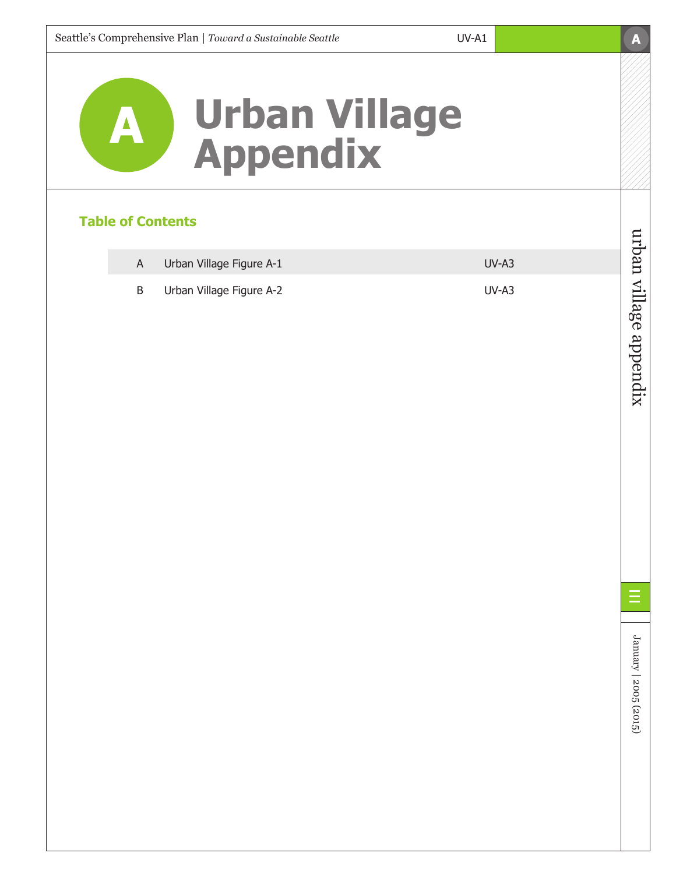

## **Table of Contents**

| Urban Village Figure A-1 | $UV-A3$ |
|--------------------------|---------|
| Urban Village Figure A-2 | $UV-A3$ |



January | 2005 (2015)

January | 2005 (2015)

Ξ

**A**